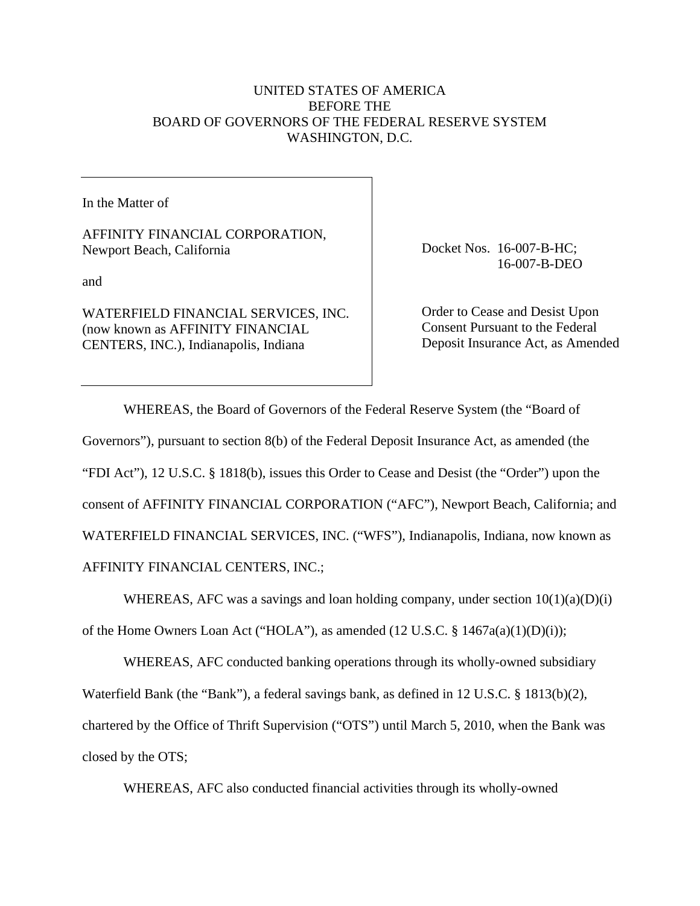## UNITED STATES OF AMERICA BEFORE THE BOARD OF GOVERNORS OF THE FEDERAL RESERVE SYSTEM WASHINGTON, D.C.

In the Matter of

AFFINITY FINANCIAL CORPORATION, Newport Beach, California

and

WATERFIELD FINANCIAL SERVICES, INC. (now known as AFFINITY FINANCIAL CENTERS, INC.), Indianapolis, Indiana

Docket Nos. 16-007-B-HC; 16-007-B-DEO

Order to Cease and Desist Upon Consent Pursuant to the Federal Deposit Insurance Act, as Amended

WHEREAS, the Board of Governors of the Federal Reserve System (the "Board of Governors"), pursuant to section 8(b) of the Federal Deposit Insurance Act, as amended (the "FDI Act"), 12 U.S.C. § 1818(b), issues this Order to Cease and Desist (the "Order") upon the consent of AFFINITY FINANCIAL CORPORATION ("AFC"), Newport Beach, California; and WATERFIELD FINANCIAL SERVICES, INC. ("WFS"), Indianapolis, Indiana, now known as AFFINITY FINANCIAL CENTERS, INC.;

WHEREAS, AFC was a savings and loan holding company, under section  $10(1)(a)(D)(i)$ of the Home Owners Loan Act ("HOLA"), as amended (12 U.S.C. § 1467a(a)(1)(D)(i));

WHEREAS, AFC conducted banking operations through its wholly-owned subsidiary Waterfield Bank (the "Bank"), a federal savings bank, as defined in 12 U.S.C. § 1813(b)(2), chartered by the Office of Thrift Supervision ("OTS") until March 5, 2010, when the Bank was closed by the OTS;

WHEREAS, AFC also conducted financial activities through its wholly-owned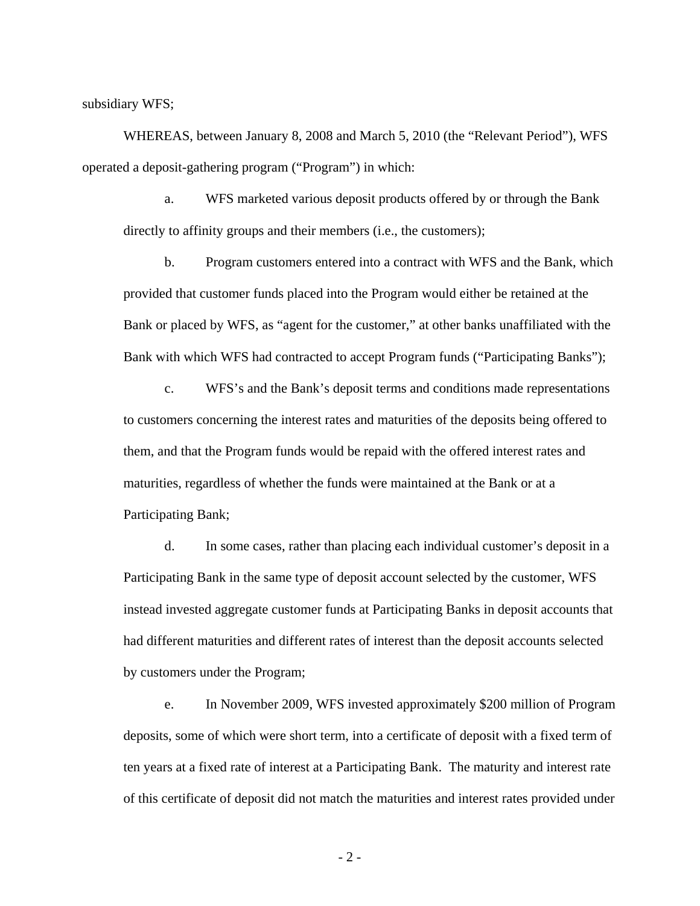subsidiary WFS;

WHEREAS, between January 8, 2008 and March 5, 2010 (the "Relevant Period"), WFS operated a deposit-gathering program ("Program") in which:

a. WFS marketed various deposit products offered by or through the Bank directly to affinity groups and their members (i.e., the customers);

b. Program customers entered into a contract with WFS and the Bank, which provided that customer funds placed into the Program would either be retained at the Bank or placed by WFS, as "agent for the customer," at other banks unaffiliated with the Bank with which WFS had contracted to accept Program funds ("Participating Banks");

c. WFS's and the Bank's deposit terms and conditions made representations to customers concerning the interest rates and maturities of the deposits being offered to them, and that the Program funds would be repaid with the offered interest rates and maturities, regardless of whether the funds were maintained at the Bank or at a Participating Bank;

d. In some cases, rather than placing each individual customer's deposit in a Participating Bank in the same type of deposit account selected by the customer, WFS instead invested aggregate customer funds at Participating Banks in deposit accounts that had different maturities and different rates of interest than the deposit accounts selected by customers under the Program;

e. In November 2009, WFS invested approximately \$200 million of Program deposits, some of which were short term, into a certificate of deposit with a fixed term of ten years at a fixed rate of interest at a Participating Bank. The maturity and interest rate of this certificate of deposit did not match the maturities and interest rates provided under

- 2 -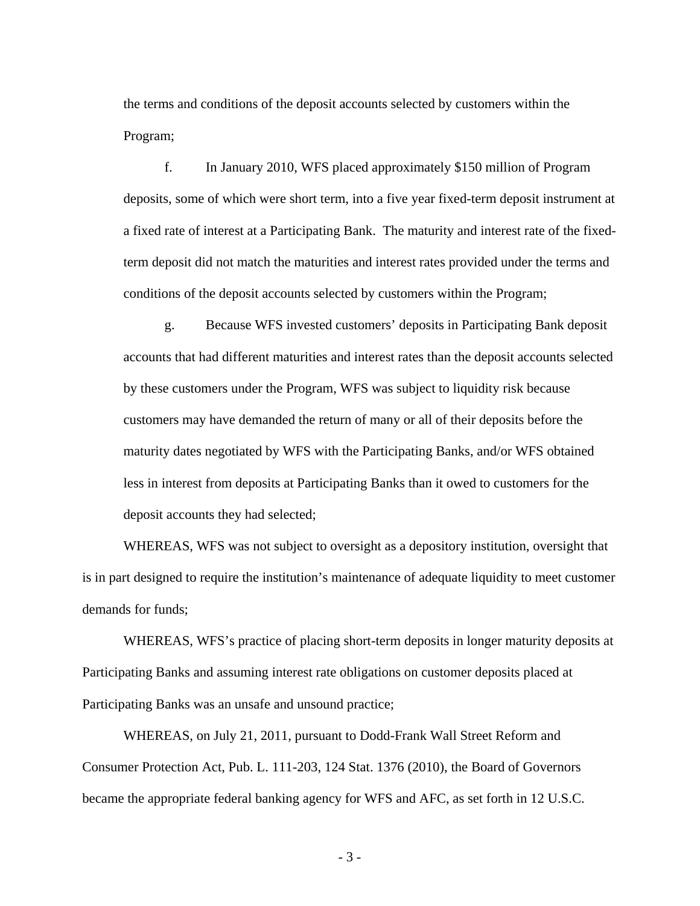the terms and conditions of the deposit accounts selected by customers within the Program;

f. In January 2010, WFS placed approximately \$150 million of Program deposits, some of which were short term, into a five year fixed-term deposit instrument at a fixed rate of interest at a Participating Bank. The maturity and interest rate of the fixedterm deposit did not match the maturities and interest rates provided under the terms and conditions of the deposit accounts selected by customers within the Program;

g. Because WFS invested customers' deposits in Participating Bank deposit accounts that had different maturities and interest rates than the deposit accounts selected by these customers under the Program, WFS was subject to liquidity risk because customers may have demanded the return of many or all of their deposits before the maturity dates negotiated by WFS with the Participating Banks, and/or WFS obtained less in interest from deposits at Participating Banks than it owed to customers for the deposit accounts they had selected;

WHEREAS, WFS was not subject to oversight as a depository institution, oversight that is in part designed to require the institution's maintenance of adequate liquidity to meet customer demands for funds;

WHEREAS, WFS's practice of placing short-term deposits in longer maturity deposits at Participating Banks and assuming interest rate obligations on customer deposits placed at Participating Banks was an unsafe and unsound practice;

WHEREAS, on July 21, 2011, pursuant to Dodd-Frank Wall Street Reform and Consumer Protection Act, Pub. L. 111-203, 124 Stat. 1376 (2010), the Board of Governors became the appropriate federal banking agency for WFS and AFC, as set forth in 12 U.S.C.

- 3 -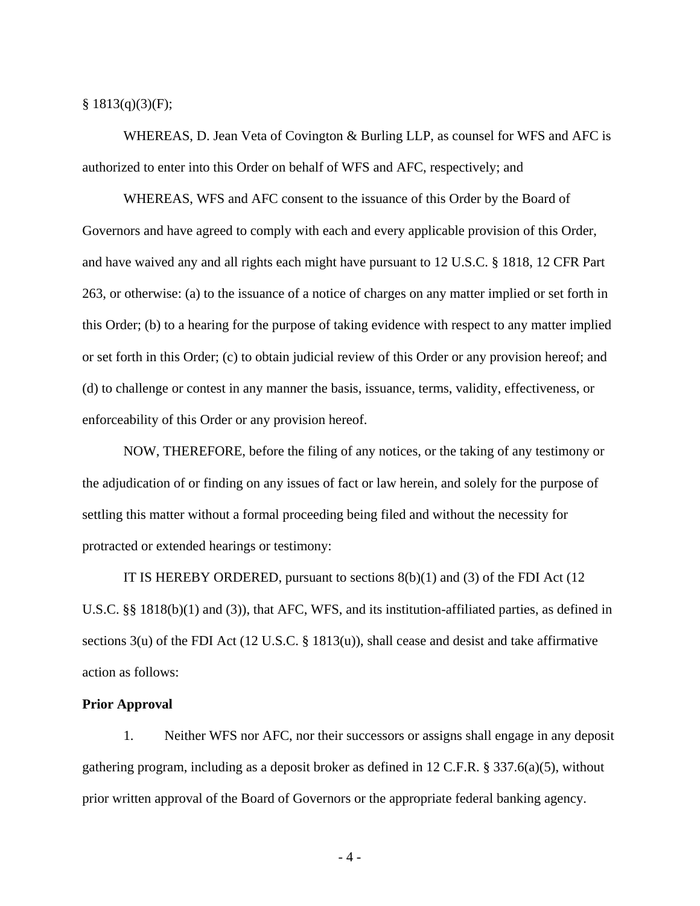$§ 1813(q)(3)(F);$ 

WHEREAS, D. Jean Veta of Covington & Burling LLP, as counsel for WFS and AFC is authorized to enter into this Order on behalf of WFS and AFC, respectively; and

WHEREAS, WFS and AFC consent to the issuance of this Order by the Board of Governors and have agreed to comply with each and every applicable provision of this Order, and have waived any and all rights each might have pursuant to 12 U.S.C. § 1818, 12 CFR Part 263, or otherwise: (a) to the issuance of a notice of charges on any matter implied or set forth in this Order; (b) to a hearing for the purpose of taking evidence with respect to any matter implied or set forth in this Order; (c) to obtain judicial review of this Order or any provision hereof; and (d) to challenge or contest in any manner the basis, issuance, terms, validity, effectiveness, or enforceability of this Order or any provision hereof.

NOW, THEREFORE, before the filing of any notices, or the taking of any testimony or the adjudication of or finding on any issues of fact or law herein, and solely for the purpose of settling this matter without a formal proceeding being filed and without the necessity for protracted or extended hearings or testimony:

IT IS HEREBY ORDERED, pursuant to sections  $8(b)(1)$  and (3) of the FDI Act (12) U.S.C. §§ 1818(b)(1) and (3)), that AFC, WFS, and its institution-affiliated parties, as defined in sections  $3(u)$  of the FDI Act (12 U.S.C. § 1813(u)), shall cease and desist and take affirmative action as follows:

#### **Prior Approval**

1. Neither WFS nor AFC, nor their successors or assigns shall engage in any deposit gathering program, including as a deposit broker as defined in 12 C.F.R. § 337.6(a)(5), without prior written approval of the Board of Governors or the appropriate federal banking agency.

- 4 -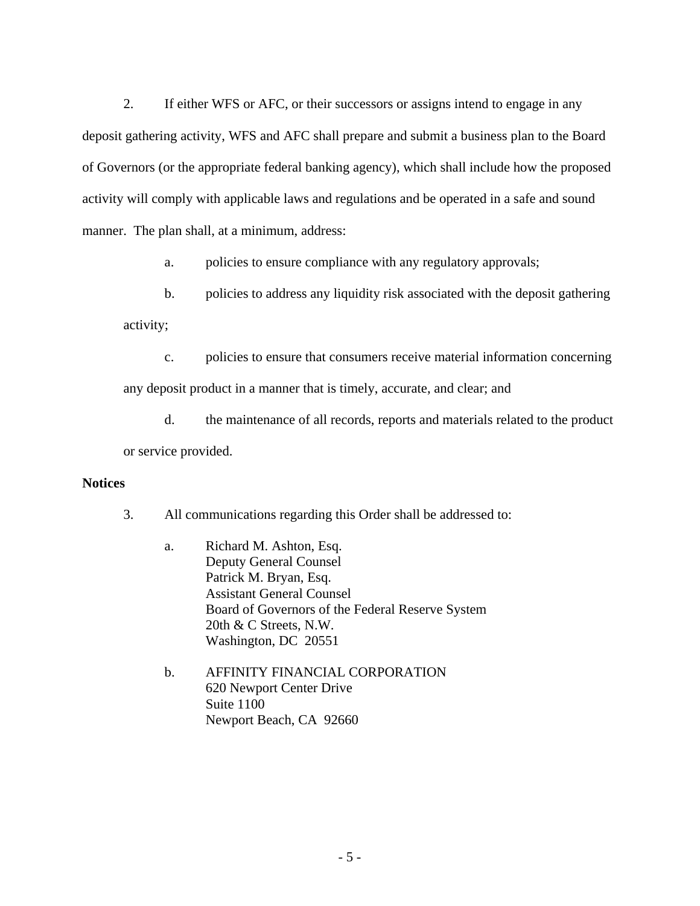2. If either WFS or AFC, or their successors or assigns intend to engage in any deposit gathering activity, WFS and AFC shall prepare and submit a business plan to the Board of Governors (or the appropriate federal banking agency), which shall include how the proposed activity will comply with applicable laws and regulations and be operated in a safe and sound manner. The plan shall, at a minimum, address:

a. policies to ensure compliance with any regulatory approvals;

b. policies to address any liquidity risk associated with the deposit gathering

activity;

c. policies to ensure that consumers receive material information concerning

any deposit product in a manner that is timely, accurate, and clear; and

d. the maintenance of all records, reports and materials related to the product or service provided.

## **Notices**

3. All communications regarding this Order shall be addressed to:

- Board of Governors of the Federal Reserve System 20th & C Streets, N.W. Washington, DC 20551 20th & C Streets, N.W. a. Richard M. Ashton, Esq. Deputy General Counsel Patrick M. Bryan, Esq. Assistant General Counsel
- b. AFFINITY FINANCIAL CORPORATION 620 Newport Center Drive Suite 1100 Newport Beach, CA 92660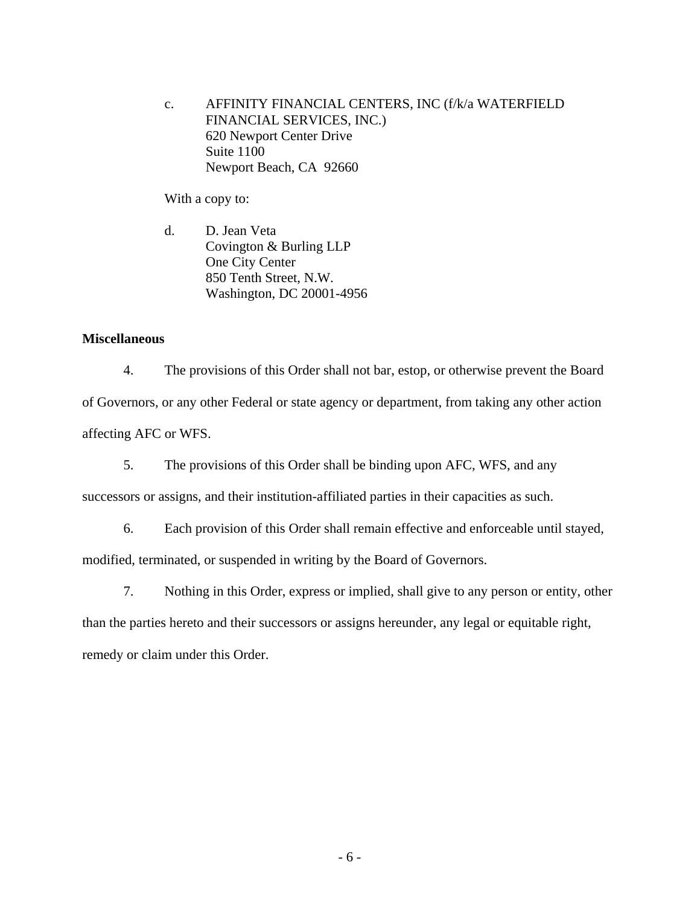c. AFFINITY FINANCIAL CENTERS, INC (f/k/a WATERFIELD FINANCIAL SERVICES, INC.) 620 Newport Center Drive Suite 1100 Newport Beach, CA 92660

With a copy to:

d. D. Jean Veta Covington & Burling LLP One City Center 850 Tenth Street, N.W. Washington, DC 20001-4956

## **Miscellaneous**

4. The provisions of this Order shall not bar, estop, or otherwise prevent the Board of Governors, or any other Federal or state agency or department, from taking any other action affecting AFC or WFS.

5. The provisions of this Order shall be binding upon AFC, WFS, and any

successors or assigns, and their institution-affiliated parties in their capacities as such.

6. Each provision of this Order shall remain effective and enforceable until stayed,

modified, terminated, or suspended in writing by the Board of Governors.

7. Nothing in this Order, express or implied, shall give to any person or entity, other

than the parties hereto and their successors or assigns hereunder, any legal or equitable right, remedy or claim under this Order.